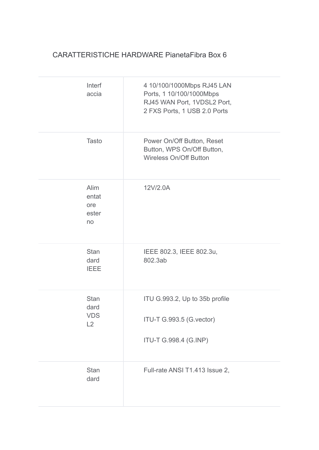## CARATTERISTICHE HARDWARE PianetaFibra Box 6

| Interf<br>accia                         | 4 10/100/1000Mbps RJ45 LAN<br>Ports, 1 10/100/1000Mbps<br>RJ45 WAN Port, 1VDSL2 Port,<br>2 FXS Ports, 1 USB 2.0 Ports |
|-----------------------------------------|-----------------------------------------------------------------------------------------------------------------------|
| <b>Tasto</b>                            | Power On/Off Button, Reset<br>Button, WPS On/Off Button,<br><b>Wireless On/Off Button</b>                             |
| Alim<br>entat<br>ore<br>ester<br>no     | 12V/2.0A                                                                                                              |
| <b>Stan</b><br>dard<br><b>IEEE</b>      | IEEE 802.3, IEEE 802.3u,<br>802.3ab                                                                                   |
| <b>Stan</b><br>dard<br><b>VDS</b><br>L2 | ITU G.993.2, Up to 35b profile<br>ITU-T G.993.5 (G.vector)<br>ITU-T G.998.4 (G.INP)                                   |
| <b>Stan</b><br>dard                     | Full-rate ANSI T1.413 Issue 2,                                                                                        |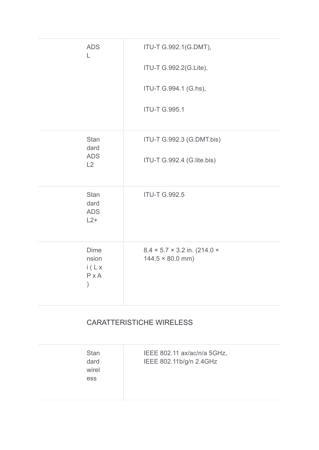| <b>ADS</b><br>L                                                | ITU-T G.992.1(G.DMT),<br>ITU-T G.992.2(G.Lite),                            |
|----------------------------------------------------------------|----------------------------------------------------------------------------|
|                                                                | ITU-T G.994.1 (G.hs),                                                      |
|                                                                | <b>ITU-T G.995.1</b>                                                       |
| <b>Stan</b><br>dard<br><b>ADS</b>                              | ITU-T G.992.3 (G.DMT.bis)                                                  |
| L2                                                             | ITU-T G.992.4 (G.lite.bis)                                                 |
| <b>Stan</b><br>dard<br><b>ADS</b><br>$L2+$                     | <b>ITU-T G.992.5</b>                                                       |
| <b>Dime</b><br>nsion<br>i(Lx)<br>$P \times A$<br>$\mathcal{E}$ | $8.4 \times 5.7 \times 3.2$ in. (214.0 $\times$<br>$144.5 \times 80.0$ mm) |

## **CARATTERISTICHE WIRELESS**

| <b>Stan</b><br>dard<br>wirel<br><b>ess</b> | IEEE 802.11 ax/ac/n/a 5GHz,<br>IEEE 802.11b/g/n 2.4GHz |
|--------------------------------------------|--------------------------------------------------------|
|--------------------------------------------|--------------------------------------------------------|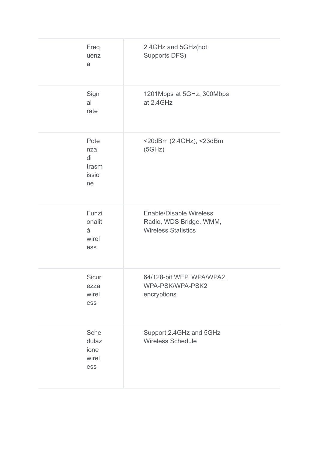| Freq<br>uenz<br>a                         | 2.4GHz and 5GHz(not<br>Supports DFS)                                                    |
|-------------------------------------------|-----------------------------------------------------------------------------------------|
| Sign<br>al<br>rate                        | 1201Mbps at 5GHz, 300Mbps<br>at 2.4GHz                                                  |
| Pote<br>nza<br>di<br>trasm<br>issio<br>ne | <20dBm (2.4GHz), <23dBm<br>(5GHz)                                                       |
| Funzi<br>onalit<br>à<br>wirel<br>ess      | <b>Enable/Disable Wireless</b><br>Radio, WDS Bridge, WMM,<br><b>Wireless Statistics</b> |
| Sicur<br>ezza<br>wirel<br>ess             | 64/128-bit WEP, WPA/WPA2,<br>WPA-PSK/WPA-PSK2<br>encryptions                            |
| Sche<br>dulaz<br>ione<br>wirel<br>ess     | Support 2.4GHz and 5GHz<br><b>Wireless Schedule</b>                                     |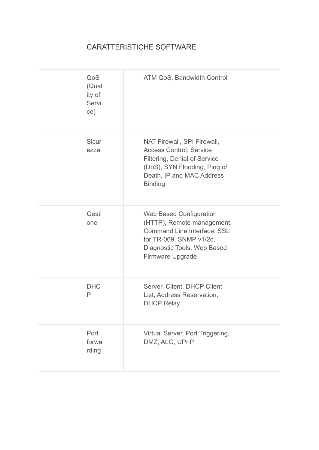## CARATTERISTICHE SOFTWARE

| QoS<br>(Qual<br>ity of<br>Servi<br>ce) | ATM QoS, Bandwidth Control                                                                                                                                                       |
|----------------------------------------|----------------------------------------------------------------------------------------------------------------------------------------------------------------------------------|
| <b>Sicur</b><br>ezza                   | NAT Firewall, SPI Firewall,<br><b>Access Control, Service</b><br>Filtering, Denial of Service<br>(DoS), SYN Flooding, Ping of<br>Death, IP and MAC Address<br><b>Binding</b>     |
| Gesti<br>one                           | <b>Web Based Configuration</b><br>(HTTP), Remote management,<br>Command Line Interface, SSL<br>for TR-069, SNMP v1/2c,<br>Diagnostic Tools, Web Based<br><b>Firmware Upgrade</b> |
| <b>DHC</b><br>P                        | Server, Client, DHCP Client<br>List, Address Reservation,<br><b>DHCP Relay</b>                                                                                                   |
| Port<br>forwa<br>rding                 | Virtual Server, Port Triggering,<br>DMZ, ALG, UPnP                                                                                                                               |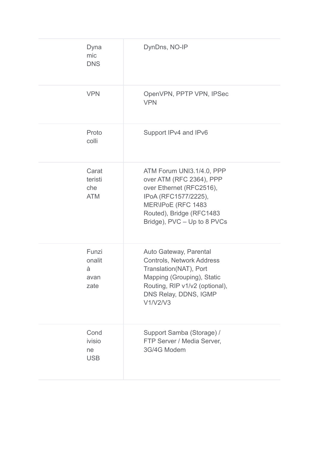| Dyna<br>mic<br><b>DNS</b>             | DynDns, NO-IP                                                                                                                                                                              |
|---------------------------------------|--------------------------------------------------------------------------------------------------------------------------------------------------------------------------------------------|
| <b>VPN</b>                            | OpenVPN, PPTP VPN, IPSec<br><b>VPN</b>                                                                                                                                                     |
| Proto<br>colli                        | Support IPv4 and IPv6                                                                                                                                                                      |
| Carat<br>teristi<br>che<br><b>ATM</b> | ATM Forum UNI3.1/4.0, PPP<br>over ATM (RFC 2364), PPP<br>over Ethernet (RFC2516),<br>IPoA (RFC1577/2225),<br>MER\IPoE (RFC 1483<br>Routed), Bridge (RFC1483<br>Bridge), PVC - Up to 8 PVCs |
| Funzi<br>onalit<br>à<br>avan<br>zate  | Auto Gateway, Parental<br><b>Controls, Network Address</b><br>Translation(NAT), Port<br>Mapping (Grouping), Static<br>Routing, RIP v1/v2 (optional),<br>DNS Relay, DDNS, IGMP<br>V1/V2/V3  |
| Cond<br>ivisio<br>ne<br><b>USB</b>    | Support Samba (Storage) /<br>FTP Server / Media Server,<br>3G/4G Modem                                                                                                                     |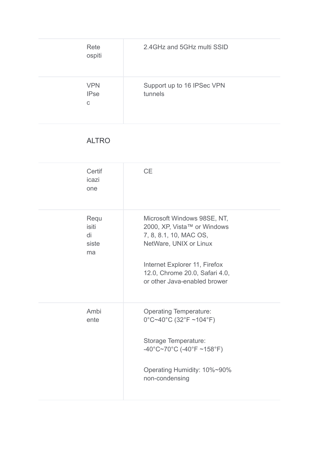| Rete<br>ospiti                 | 2.4 GHz and 5 GHz multi SSID          |
|--------------------------------|---------------------------------------|
| <b>VPN</b><br><b>IPse</b><br>C | Support up to 16 IPSec VPN<br>tunnels |

## **ALTRO**

| Certif<br>icazi<br>one             | <b>CE</b>                                                                                                                                                                                                         |
|------------------------------------|-------------------------------------------------------------------------------------------------------------------------------------------------------------------------------------------------------------------|
| Requ<br>isiti<br>di<br>siste<br>ma | Microsoft Windows 98SE, NT,<br>2000, XP, Vista™ or Windows<br>7, 8, 8.1, 10, MAC OS,<br>NetWare, UNIX or Linux<br>Internet Explorer 11, Firefox<br>12.0, Chrome 20.0, Safari 4.0,<br>or other Java-enabled brower |
| Ambi<br>ente                       | <b>Operating Temperature:</b><br>$0^{\circ}$ C~40°C (32°F ~104°F)<br>Storage Temperature:<br>$-40^{\circ}$ C~70°C (-40°F ~158°F)<br>Operating Humidity: 10%~90%<br>non-condensing                                 |